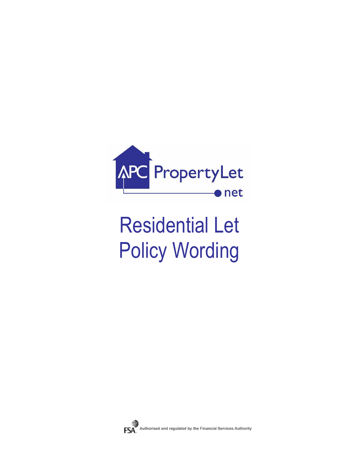

# Residential Let Policy Wording

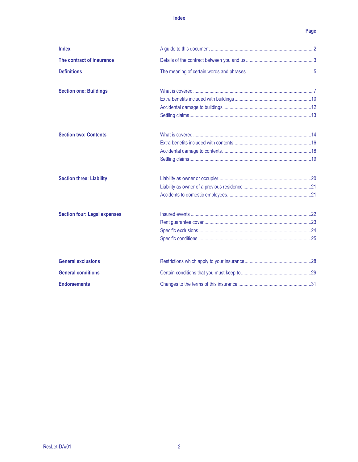### Index

## Page

| <b>Index</b>                        |  |
|-------------------------------------|--|
| The contract of insurance           |  |
| <b>Definitions</b>                  |  |
| <b>Section one: Buildings</b>       |  |
|                                     |  |
|                                     |  |
|                                     |  |
| <b>Section two: Contents</b>        |  |
|                                     |  |
|                                     |  |
|                                     |  |
| <b>Section three: Liability</b>     |  |
|                                     |  |
|                                     |  |
| <b>Section four: Legal expenses</b> |  |
|                                     |  |
|                                     |  |
|                                     |  |
| <b>General exclusions</b>           |  |
| <b>General conditions</b>           |  |
| <b>Endorsements</b>                 |  |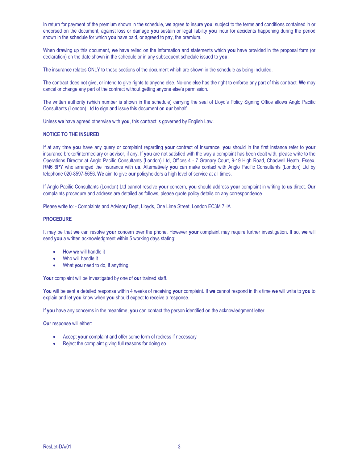In return for payment of the premium shown in the schedule, we agree to insure you, subject to the terms and conditions contained in or endorsed on the document, against loss or damage you sustain or legal liability you incur for accidents happening during the period shown in the schedule for which you have paid, or agreed to pay, the premium.

When drawing up this document, we have relied on the information and statements which you have provided in the proposal form (or declaration) on the date shown in the schedule or in any subsequent schedule issued to you.

The insurance relates ONLY to those sections of the document which are shown in the schedule as being included.

The contract does not give, or intend to give rights to anyone else. No-one else has the right to enforce any part of this contract. We may cancel or change any part of the contract without getting anyone else's permission.

The written authority (which number is shown in the schedule) carrying the seal of Lloyd's Policy Signing Office allows Anglo Pacific Consultants (London) Ltd to sign and issue this document on our behalf.

Unless we have agreed otherwise with you, this contract is governed by English Law.

#### NOTICE TO THE INSURED

If at any time you have any query or complaint regarding your contract of insurance, you should in the first instance refer to your insurance broker/intermediary or advisor, if any. If you are not satisfied with the way a complaint has been dealt with, please write to the Operations Director at Anglo Pacific Consultants (London) Ltd, Offices 4 - 7 Granary Court, 9-19 High Road, Chadwell Heath, Essex, RM6 6PY who arranged the insurance with us. Alternatively you can make contact with Anglo Pacific Consultants (London) Ltd by telephone 020-8597-5656. We aim to give our policyholders a high level of service at all times.

If Anglo Pacific Consultants (London) Ltd cannot resolve your concern, you should address your complaint in writing to us direct. Our complaints procedure and address are detailed as follows, please quote policy details on any correspondence.

Please write to: - Complaints and Advisory Dept, Lloyds, One Lime Street, London EC3M 7HA

#### **PROCEDURE**

It may be that we can resolve your concern over the phone. However your complaint may require further investigation. If so, we will send you a written acknowledgment within 5 working days stating:

- How we will handle it
- Who will handle it
- What you need to do, if anything.

Your complaint will be investigated by one of our trained staff.

You will be sent a detailed response within 4 weeks of receiving your complaint. If we cannot respond in this time we will write to you to explain and let you know when you should expect to receive a response.

If you have any concerns in the meantime, you can contact the person identified on the acknowledgment letter.

Our response will either:

- Accept your complaint and offer some form of redress if necessary
- Reject the complaint giving full reasons for doing so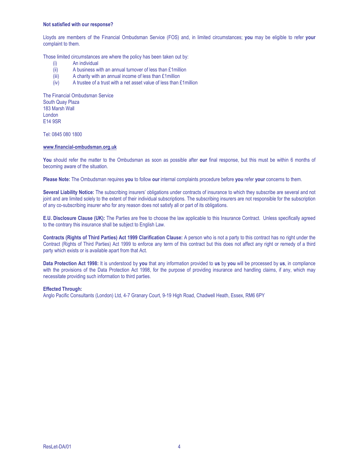#### Not satisfied with our response?

Lloyds are members of the Financial Ombudsman Service (FOS) and, in limited circumstances; you may be eligible to refer your complaint to them.

Those limited circumstances are where the policy has been taken out by:

- (i) An individual
- (ii) A business with an annual turnover of less than £1million
- (iii) A charity with an annual income of less than £1million
- (iv) A trustee of a trust with a net asset value of less than £1million

The Financial Ombudsman Service South Quay Plaza 183 Marsh Wall London E14 9SR

Tel: 0845 080 1800

#### www.financial-ombudsman.org.uk

You should refer the matter to the Ombudsman as soon as possible after our final response, but this must be within 6 months of becoming aware of the situation.

Please Note: The Ombudsman requires you to follow our internal complaints procedure before you refer your concerns to them.

Several Liability Notice: The subscribing insurers' obligations under contracts of insurance to which they subscribe are several and not joint and are limited solely to the extent of their individual subscriptions. The subscribing insurers are not responsible for the subscription of any co-subscribing insurer who for any reason does not satisfy all or part of its obligations.

E.U. Disclosure Clause (UK): The Parties are free to choose the law applicable to this Insurance Contract. Unless specifically agreed to the contrary this insurance shall be subject to English Law.

Contracts (Rights of Third Parties) Act 1999 Clarification Clause: A person who is not a party to this contract has no right under the Contract (Rights of Third Parties) Act 1999 to enforce any term of this contract but this does not affect any right or remedy of a third party which exists or is available apart from that Act.

Data Protection Act 1998: It is understood by you that any information provided to us by you will be processed by us, in compliance with the provisions of the Data Protection Act 1998, for the purpose of providing insurance and handling claims, if any, which may necessitate providing such information to third parties.

#### Effected Through:

Anglo Pacific Consultants (London) Ltd, 4-7 Granary Court, 9-19 High Road, Chadwell Heath, Essex, RM6 6PY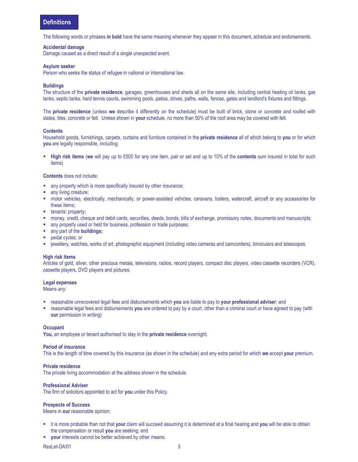The following words or phrases in bold have the same meaning whenever they appear in this document, schedule and endorsements.

#### Accidental damage

Damage caused as a direct result of a single unexpected event.

#### Asylum seeker

Person who seeks the status of refugee in national or international law.

#### **Buildings**

The structure of the **private residence**, garages, greenhouses and sheds all on the same site, including central heating oil tanks, gas tanks, septic tanks, hard tennis courts, swimming pools, patios, drives, paths, walls, fences, gates and landlord's fixtures and fittings.

The private residence (unless we describe it differently on the schedule) must be built of brick, stone or concrete and roofed with slates, tiles, concrete or felt. Unless shown in your schedule, no more than 50% of the roof area may be covered with felt.

#### **Contents**

Household goods, furnishings, carpets, curtains and furniture contained in the **private residence** all of which belong to you or for which you are legally responsible, including:

High risk items (we will pay up to £500 for any one item, pair or set and up to 10% of the contents sum insured in total for such items)

#### Contents does not include:

- any property which is more specifically insured by other insurance;
- any living creature;
- motor vehicles, electrically, mechanically, or power-assisted vehicles, caravans, trailers, watercraft, aircraft or any accessories for these items;
- **tenants' property;**
- money, credit, cheque and debit cards, securities, deeds, bonds, bills of exchange, promissory notes, documents and manuscripts;
- any property used or held for business, profession or trade purposes;
- any part of the **buildings**;
- **pedal cycles; or**
- jewellery, watches, works of art, photographic equipment (including video cameras and camcorders), binoculars and telescopes.

#### High risk items

Articles of gold, silver, other precious metals, televisions, radios, record players, compact disc players, video cassette recorders (VCR), cassette players, DVD players and pictures.

#### Legal expenses

Means any:

- **F** reasonable unrecovered legal fees and disbursements which you are liable to pay to your professional adviser; and
- **F** reasonable legal fees and disbursements you are ordered to pay by a court, other than a criminal court or have agreed to pay (with our permission in writing)

#### **Occupant**

You, an employee or tenant authorised to stay in the private residence overnight.

#### Period of insurance

This is the length of time covered by this insurance (as shown in the schedule) and any extra period for which we accept your premium.

#### Private residence

The private living accommodation at the address shown in the schedule.

#### Professional Adviser

The firm of solicitors appointed to act for you under this Policy.

#### Prospects of Success

Means in our reasonable opinion:

- **i** it is more probable than not that your claim will succeed assuming it is determined at a final hearing and you will be able to obtain the compensation or result you are seeking; and
- your interests cannot be better achieved by other means.

ResLet-DA/01 5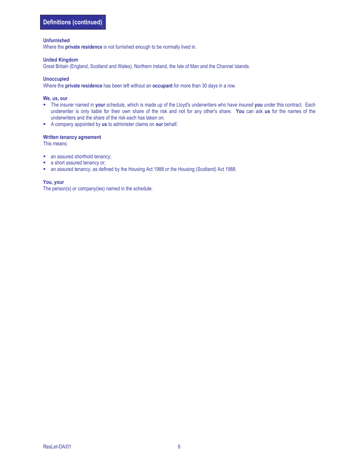#### Unfurnished

Where the private residence is not furnished enough to be normally lived in.

#### United Kingdom

Great Britain (England, Scotland and Wales), Northern Ireland, the Isle of Man and the Channel Islands.

#### Unoccupied

Where the private residence has been left without an occupant for more than 30 days in a row.

#### We, us, our

- The insurer named in your schedule, which is made up of the Lloyd's underwriters who have insured you under this contract. Each underwriter is only liable for their own share of the risk and not for any other's share. You can ask us for the names of the underwriters and the share of the risk each has taken on.
- A company appointed by us to administer claims on our behalf.

#### Written tenancy agreement

This means:

- an assured shorthold tenancy;
- **a** short assured tenancy or;
- an assured tenancy, as defined by the Housing Act 1988 or the Housing (Scotland) Act 1988.

#### You, your

The person(s) or company(ies) named in the schedule.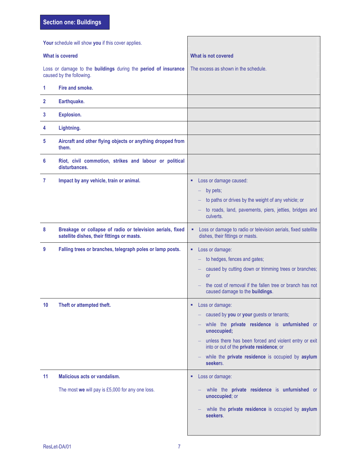Section one: Buildings

| Your schedule will show you if this cover applies. |                                                                                                          |                                                                                                                                                                                                                                                                                                         |
|----------------------------------------------------|----------------------------------------------------------------------------------------------------------|---------------------------------------------------------------------------------------------------------------------------------------------------------------------------------------------------------------------------------------------------------------------------------------------------------|
| <b>What is covered</b>                             |                                                                                                          | What is not covered                                                                                                                                                                                                                                                                                     |
|                                                    | Loss or damage to the buildings during the period of insurance<br>caused by the following.               | The excess as shown in the schedule.                                                                                                                                                                                                                                                                    |
| 1                                                  | Fire and smoke.                                                                                          |                                                                                                                                                                                                                                                                                                         |
| 2                                                  | Earthquake.                                                                                              |                                                                                                                                                                                                                                                                                                         |
| 3                                                  | <b>Explosion.</b>                                                                                        |                                                                                                                                                                                                                                                                                                         |
| 4                                                  | Lightning.                                                                                               |                                                                                                                                                                                                                                                                                                         |
| 5                                                  | Aircraft and other flying objects or anything dropped from<br>them.                                      |                                                                                                                                                                                                                                                                                                         |
| 6                                                  | Riot, civil commotion, strikes and labour or political<br>disturbances.                                  |                                                                                                                                                                                                                                                                                                         |
| 7                                                  | Impact by any vehicle, train or animal.                                                                  | Loss or damage caused:<br>٠<br>by pets;<br>to paths or drives by the weight of any vehicle; or<br>to roads, land, pavements, piers, jetties, bridges and<br>culverts.                                                                                                                                   |
| 8                                                  | Breakage or collapse of radio or television aerials, fixed<br>satellite dishes, their fittings or masts. | Loss or damage to radio or television aerials, fixed satellite<br>٠<br>dishes, their fittings or masts.                                                                                                                                                                                                 |
| 9                                                  | Falling trees or branches, telegraph poles or lamp posts.                                                | Loss or damage:<br>٠<br>to hedges, fences and gates;<br>caused by cutting down or trimming trees or branches;<br><b>or</b><br>the cost of removal if the fallen tree or branch has not<br>caused damage to the buildings.                                                                               |
| 10                                                 | Theft or attempted theft.                                                                                | Loss or damage:<br>٠<br>caused by you or your guests or tenants;<br>while the private residence is unfurnished or<br>unoccupied;<br>unless there has been forced and violent entry or exit<br>into or out of the private residence; or<br>while the private residence is occupied by asylum<br>seekers. |
| 11                                                 | <b>Malicious acts or vandalism.</b><br>The most we will pay is £5,000 for any one loss.                  | Loss or damage:<br>٠<br>while the private residence is unfurnished or<br>unoccupied; or<br>while the private residence is occupied by asylum<br>seekers.                                                                                                                                                |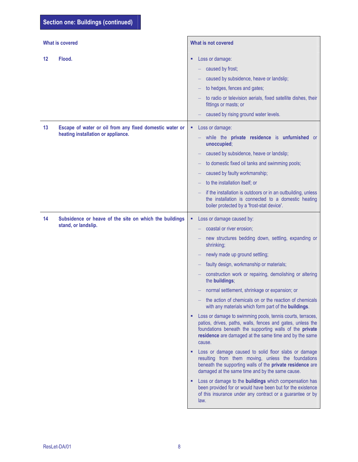| <b>What is covered</b> |                                                                                               | What is not covered                                                                                                                                                                                                                                                                                                                                                                                                                                                                                                                                                                                                                                                                                                                                                                                                                                                                                                                                                                                                                                                                                                                                                       |  |
|------------------------|-----------------------------------------------------------------------------------------------|---------------------------------------------------------------------------------------------------------------------------------------------------------------------------------------------------------------------------------------------------------------------------------------------------------------------------------------------------------------------------------------------------------------------------------------------------------------------------------------------------------------------------------------------------------------------------------------------------------------------------------------------------------------------------------------------------------------------------------------------------------------------------------------------------------------------------------------------------------------------------------------------------------------------------------------------------------------------------------------------------------------------------------------------------------------------------------------------------------------------------------------------------------------------------|--|
| 12                     | Flood.                                                                                        | Loss or damage:<br>в<br>caused by frost;<br>caused by subsidence, heave or landslip;<br>to hedges, fences and gates;<br>to radio or television aerials, fixed satellite dishes, their<br>fittings or masts; or<br>caused by rising ground water levels.                                                                                                                                                                                                                                                                                                                                                                                                                                                                                                                                                                                                                                                                                                                                                                                                                                                                                                                   |  |
| 13                     | Escape of water or oil from any fixed domestic water or<br>heating installation or appliance. | Loss or damage:<br>٠<br>while the private residence is unfurnished or<br>unoccupied;<br>caused by subsidence, heave or landslip;<br>to domestic fixed oil tanks and swimming pools;<br>caused by faulty workmanship;<br>to the installation itself; or<br>if the installation is outdoors or in an outbuilding, unless<br>the installation is connected to a domestic heating<br>boiler protected by a 'frost-stat device'.                                                                                                                                                                                                                                                                                                                                                                                                                                                                                                                                                                                                                                                                                                                                               |  |
| 14                     | Subsidence or heave of the site on which the buildings<br>stand, or landslip.                 | Loss or damage caused by:<br>٠<br>coastal or river erosion;<br>new structures bedding down, settling, expanding or<br>shrinking;<br>newly made up ground settling;<br>faulty design, workmanship or materials;<br>construction work or repairing, demolishing or altering<br>the buildings;<br>normal settlement, shrinkage or expansion; or<br>the action of chemicals on or the reaction of chemicals<br>with any materials which form part of the <b>buildings</b> .<br>Loss or damage to swimming pools, tennis courts, terraces,<br>٠<br>patios, drives, paths, walls, fences and gates, unless the<br>foundations beneath the supporting walls of the private<br>residence are damaged at the same time and by the same<br>cause.<br>Loss or damage caused to solid floor slabs or damage<br>resulting from them moving, unless the foundations<br>beneath the supporting walls of the private residence are<br>damaged at the same time and by the same cause.<br>Loss or damage to the <b>buildings</b> which compensation has<br>been provided for or would have been but for the existence<br>of this insurance under any contract or a guarantee or by<br>law. |  |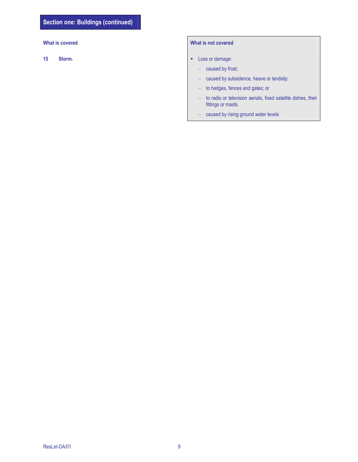## What is covered What is not covered

- 15 Storm. Storm.
	- caused by frost;
	- caused by subsidence, heave or landslip;
	- to hedges, fences and gates; or
	- to radio or television aerials, fixed satellite dishes, their fittings or masts.
	- caused by rising ground water levels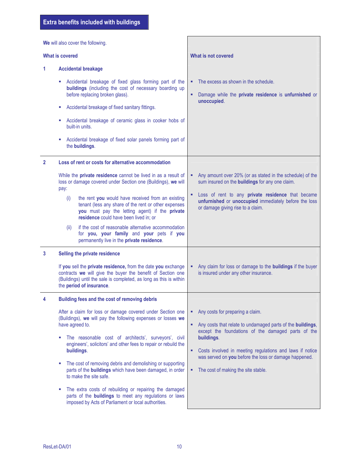We will also cover the following.

|              | <b>What is covered</b>                                                                                                                                                                                                                                                                                                                                                 | What is not covered                                                                                                                                                                |
|--------------|------------------------------------------------------------------------------------------------------------------------------------------------------------------------------------------------------------------------------------------------------------------------------------------------------------------------------------------------------------------------|------------------------------------------------------------------------------------------------------------------------------------------------------------------------------------|
| 1.           | <b>Accidental breakage</b>                                                                                                                                                                                                                                                                                                                                             |                                                                                                                                                                                    |
|              | Accidental breakage of fixed glass forming part of the<br>buildings (including the cost of necessary boarding up<br>before replacing broken glass).<br>Accidental breakage of fixed sanitary fittings.<br>Accidental breakage of ceramic glass in cooker hobs of<br>built-in units.<br>Accidental breakage of fixed solar panels forming part of                       | The excess as shown in the schedule.<br>٠<br>Damage while the private residence is unfurnished or<br>٠<br>unoccupied.                                                              |
|              | the buildings.                                                                                                                                                                                                                                                                                                                                                         |                                                                                                                                                                                    |
| $\mathbf{2}$ | Loss of rent or costs for alternative accommodation<br>While the private residence cannot be lived in as a result of<br>loss or damage covered under Section one (Buildings), we will<br>pay:                                                                                                                                                                          | Any amount over 20% (or as stated in the schedule) of the<br>٠<br>sum insured on the <b>buildings</b> for any one claim.<br>Loss of rent to any private residence that became<br>٠ |
|              | the rent you would have received from an existing<br>(i)<br>tenant (less any share of the rent or other expenses<br>you must pay the letting agent) if the private<br>residence could have been lived in; or<br>if the cost of reasonable alternative accommodation<br>(ii)<br>for you, your family and your pets if you<br>permanently live in the private residence. | unfurnished or unoccupied immediately before the loss<br>or damage giving rise to a claim.                                                                                         |
| 3            | Selling the private residence                                                                                                                                                                                                                                                                                                                                          |                                                                                                                                                                                    |
|              | If you sell the private residence, from the date you exchange<br>contracts we will give the buyer the benefit of Section one<br>(Buildings) until the sale is completed, as long as this is within<br>the period of insurance.                                                                                                                                         | Any claim for loss or damage to the <b>buildings</b> if the buyer<br>٠<br>is insured under any other insurance.                                                                    |
| 4            | Building fees and the cost of removing debris                                                                                                                                                                                                                                                                                                                          |                                                                                                                                                                                    |
|              | After a claim for loss or damage covered under Section one<br>(Buildings), we will pay the following expenses or losses we<br>have agreed to.<br>The reasonable cost of architects', surveyors', civil<br>ш<br>engineers', solicitors' and other fees to repair or rebuild the                                                                                         | Any costs for preparing a claim.<br>٠<br>Any costs that relate to undamaged parts of the buildings,<br>٠<br>except the foundations of the damaged parts of the<br>buildings.       |
|              | buildings.<br>The cost of removing debris and demolishing or supporting<br>ш<br>parts of the <b>buildings</b> which have been damaged, in order<br>to make the site safe.                                                                                                                                                                                              | Costs involved in meeting regulations and laws if notice<br>٠<br>was served on you before the loss or damage happened.<br>The cost of making the site stable.<br>٠                 |
|              | The extra costs of rebuilding or repairing the damaged<br>parts of the <b>buildings</b> to meet any regulations or laws<br>imposed by Acts of Parliament or local authorities.                                                                                                                                                                                         |                                                                                                                                                                                    |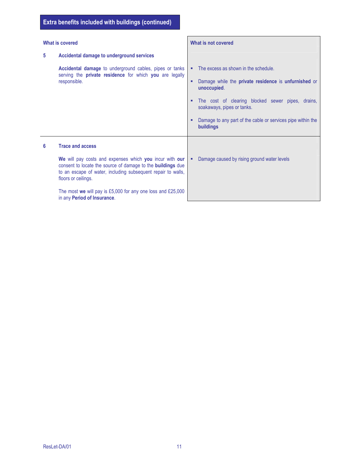| What is covered |                                                                                                                                                                                                                                                                                                                                               | What is not covered                                                                                                                                                                                                                                                                                                 |
|-----------------|-----------------------------------------------------------------------------------------------------------------------------------------------------------------------------------------------------------------------------------------------------------------------------------------------------------------------------------------------|---------------------------------------------------------------------------------------------------------------------------------------------------------------------------------------------------------------------------------------------------------------------------------------------------------------------|
| 5               | Accidental damage to underground services                                                                                                                                                                                                                                                                                                     |                                                                                                                                                                                                                                                                                                                     |
|                 | Accidental damage to underground cables, pipes or tanks<br>serving the private residence for which you are legally<br>responsible.                                                                                                                                                                                                            | The excess as shown in the schedule.<br>٠<br>Damage while the <b>private residence</b> is <b>unfurnished</b> or<br>٠<br>unoccupied.<br>The cost of clearing blocked sewer pipes, drains,<br>٠<br>soakaways, pipes or tanks.<br>Damage to any part of the cable or services pipe within the<br>٠<br><b>buildings</b> |
| 6               | <b>Trace and access</b><br>We will pay costs and expenses which you incur with our<br>consent to locate the source of damage to the <b>buildings</b> due<br>to an escape of water, including subsequent repair to walls,<br>floors or ceilings.<br>The most we will pay is £5,000 for any one loss and £25,000<br>in any Period of Insurance. | Damage caused by rising ground water levels<br>٠                                                                                                                                                                                                                                                                    |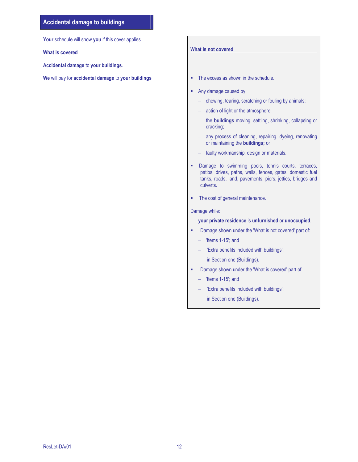### Accidental damage to buildings

Your schedule will show you if this cover applies.

What is covered

Accidental damage to your buildings.

We will pay for accidental damage to your buildings  $\blacksquare$  The excess as shown in the schedule.

#### What is not covered

- 
- Any damage caused by:
	- chewing, tearing, scratching or fouling by animals;
	- action of light or the atmosphere;
	- the buildings moving, settling, shrinking, collapsing or cracking;
	- any process of cleaning, repairing, dyeing, renovating or maintaining the buildings; or
	- faulty workmanship, design or materials.
- **-** Damage to swimming pools, tennis courts, terraces, patios, drives, paths, walls, fences, gates, domestic fuel tanks, roads, land, pavements, piers, jetties, bridges and culverts.
- The cost of general maintenance.

#### Damage while:

your private residence is unfurnished or unoccupied.

- **-** Damage shown under the 'What is not covered' part of:
	- 'Items 1-15'; and
	- 'Extra benefits included with buildings';
		- in Section one (Buildings).
- Damage shown under the 'What is covered' part of:
	- 'Items 1-15'; and
	- 'Extra benefits included with buildings';
		- in Section one (Buildings).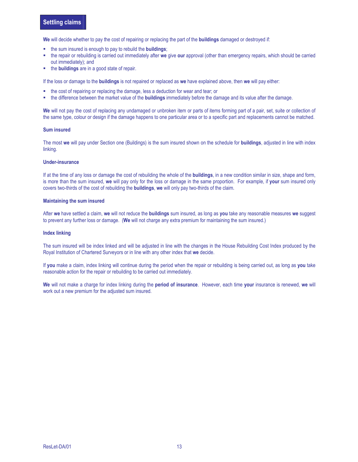We will decide whether to pay the cost of repairing or replacing the part of the **buildings** damaged or destroyed if:

- the sum insured is enough to pay to rebuild the **buildings**;
- the repair or rebuilding is carried out immediately after we give our approval (other than emergency repairs, which should be carried out immediately); and
- the **buildings** are in a good state of repair.

If the loss or damage to the **buildings** is not repaired or replaced as we have explained above, then we will pay either:

- the cost of repairing or replacing the damage, less a deduction for wear and tear; or
- the difference between the market value of the **buildings** immediately before the damage and its value after the damage.

We will not pay the cost of replacing any undamaged or unbroken item or parts of items forming part of a pair, set, suite or collection of the same type, colour or design if the damage happens to one particular area or to a specific part and replacements cannot be matched.

#### Sum insured

The most we will pay under Section one (Buildings) is the sum insured shown on the schedule for buildings, adjusted in line with index linking.

#### Under-insurance

If at the time of any loss or damage the cost of rebuilding the whole of the **buildings**, in a new condition similar in size, shape and form, is more than the sum insured, we will pay only for the loss or damage in the same proportion. For example, if your sum insured only covers two-thirds of the cost of rebuilding the buildings, we will only pay two-thirds of the claim.

#### Maintaining the sum insured

After we have settled a claim, we will not reduce the buildings sum insured, as long as you take any reasonable measures we suggest to prevent any further loss or damage. (We will not charge any extra premium for maintaining the sum insured.)

#### Index linking

The sum insured will be index linked and will be adjusted in line with the changes in the House Rebuilding Cost Index produced by the Royal Institution of Chartered Surveyors or in line with any other index that we decide.

If you make a claim, index linking will continue during the period when the repair or rebuilding is being carried out, as long as you take reasonable action for the repair or rebuilding to be carried out immediately.

We will not make a charge for index linking during the period of insurance. However, each time your insurance is renewed, we will work out a new premium for the adjusted sum insured.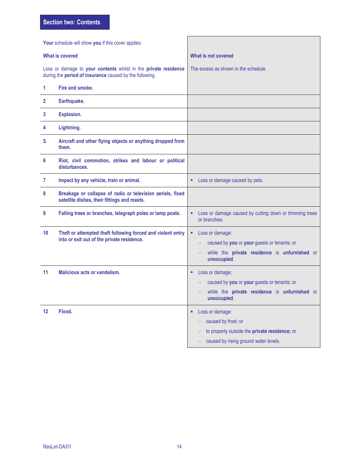Section two: Contents

| Your schedule will show you if this cover applies. |                                                                                                                            |                                                                                                                                       |
|----------------------------------------------------|----------------------------------------------------------------------------------------------------------------------------|---------------------------------------------------------------------------------------------------------------------------------------|
| <b>What is covered</b>                             |                                                                                                                            | What is not covered                                                                                                                   |
|                                                    | Loss or damage to your contents whilst in the private residence<br>during the period of insurance caused by the following. | The excess as shown in the schedule.                                                                                                  |
| 1                                                  | Fire and smoke.                                                                                                            |                                                                                                                                       |
| $\mathbf{2}$                                       | Earthquake.                                                                                                                |                                                                                                                                       |
| 3                                                  | <b>Explosion.</b>                                                                                                          |                                                                                                                                       |
| 4                                                  | Lightning.                                                                                                                 |                                                                                                                                       |
| 5.                                                 | Aircraft and other flying objects or anything dropped from<br>them.                                                        |                                                                                                                                       |
| 6                                                  | Riot, civil commotion, strikes and labour or political<br>disturbances.                                                    |                                                                                                                                       |
| 7                                                  | Impact by any vehicle, train or animal.                                                                                    | Loss or damage caused by pets.<br>٠                                                                                                   |
| 8                                                  | Breakage or collapse of radio or television aerials, fixed<br>satellite dishes, their fittings and masts.                  |                                                                                                                                       |
| 9                                                  | Falling trees or branches, telegraph poles or lamp posts.                                                                  | Loss or damage caused by cutting down or trimming trees<br>٠<br>or branches.                                                          |
| 10                                                 | Theft or attempted theft following forced and violent entry<br>into or exit out of the private residence.                  | Loss or damage:<br>٠<br>caused by you or your guests or tenants; or<br>while the private residence is unfurnished or<br>unoccupied.   |
| 11                                                 | <b>Malicious acts or vandalism.</b>                                                                                        | Loss or damage:<br>٠<br>caused by you or your guests or tenants; or<br>while the private residence is unfurnished or<br>unoccupied.   |
| 12                                                 | Flood.                                                                                                                     | Loss or damage:<br>٠<br>caused by frost; or<br>to property outside the private residence; or<br>caused by rising ground water levels. |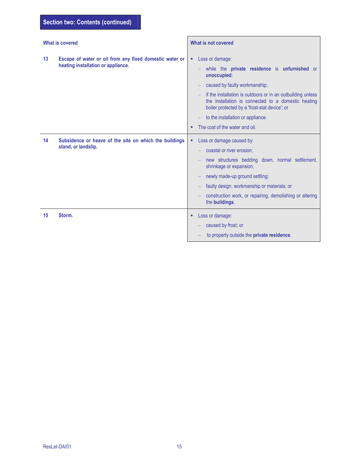| <b>What is covered</b>                                                                              | What is not covered                                                                                                                                                                                                                                                                                                                                                 |
|-----------------------------------------------------------------------------------------------------|---------------------------------------------------------------------------------------------------------------------------------------------------------------------------------------------------------------------------------------------------------------------------------------------------------------------------------------------------------------------|
| 13<br>Escape of water or oil from any fixed domestic water or<br>heating installation or appliance. | Loss or damage:<br>٠<br>while the private residence is unfurnished or<br>unoccupied;<br>caused by faulty workmanship;<br>if the installation is outdoors or in an outbuilding unless<br>the installation is connected to a domestic heating<br>boiler protected by a 'frost-stat device'; or<br>to the installation or appliance.<br>The cost of the water and oil. |
| 14<br>Subsidence or heave of the site on which the buildings<br>stand, or landslip.                 | Loss or damage caused by:<br>٠<br>coastal or river erosion;<br>new structures bedding down, normal settlement,<br>shrinkage or expansion;<br>newly made-up ground settling;<br>faulty design, workmanship or materials; or<br>construction work, or repairing, demolishing or altering<br>the buildings.                                                            |
| 15<br>Storm.                                                                                        | Loss or damage:<br>٠<br>caused by frost; or<br>to property outside the private residence.                                                                                                                                                                                                                                                                           |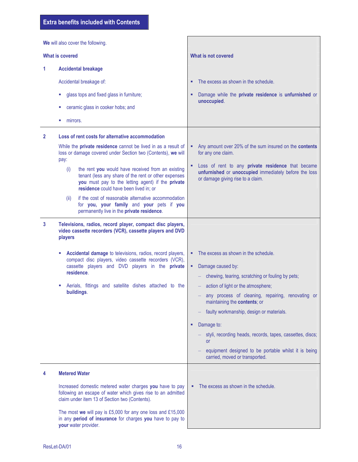We will also cover the following. What is covered What is not covered 1 Accidental breakage Accidental breakage of: **glass tops and fixed glass in furniture; EXECUTE:** ceramic glass in cooker hobs; and **number** mirrors. The excess as shown in the schedule. Damage while the private residence is unfurnished or unoccupied. 2 Loss of rent costs for alternative accommodation While the **private residence** cannot be lived in as a result of loss or damage covered under Section two (Contents), we will pay: (i) the rent you would have received from an existing tenant (less any share of the rent or other expenses you must pay to the letting agent) if the private residence could have been lived in; or (ii) if the cost of reasonable alternative accommodation for you, your family and your pets if you permanently live in the private residence. Any amount over 20% of the sum insured on the contents for any one claim. **Loss of rent to any private residence that became** unfurnished or unoccupied immediately before the loss or damage giving rise to a claim. 3 Televisions, radios, record player, compact disc players, video cassette recorders (VCR), cassette players and DVD players **Accidental damage** to televisions, radios, record players, compact disc players, video cassette recorders (VCR), cassette players and DVD players in the private residence. Aerials, fittings and satellite dishes attached to the buildings. • The excess as shown in the schedule. • Damage caused by: – chewing, tearing, scratching or fouling by pets; – action of light or the atmosphere; – any process of cleaning, repairing, renovating or maintaining the contents; or – faulty workmanship, design or materials. • Damage to: – styli, recording heads, records, tapes, cassettes, discs; or – equipment designed to be portable whilst it is being carried, moved or transported. 4 Metered Water Increased domestic metered water charges you have to pay following an escape of water which gives rise to an admitted claim under item 13 of Section two (Contents). The most we will pay is £5,000 for any one loss and £15,000 in any period of insurance for charges you have to pay to your water provider. • The excess as shown in the schedule.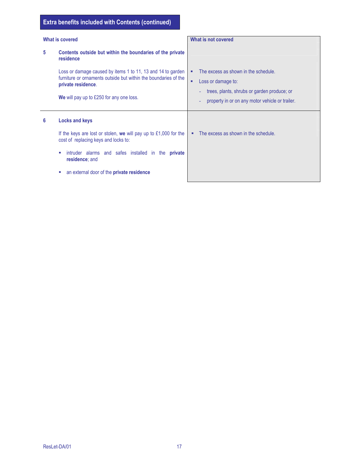# Extra benefits included with Contents (continued)

| What is covered |                                                                                                                                                                                                                     | What is not covered                                                                                                                                                    |
|-----------------|---------------------------------------------------------------------------------------------------------------------------------------------------------------------------------------------------------------------|------------------------------------------------------------------------------------------------------------------------------------------------------------------------|
| 5               | Contents outside but within the boundaries of the private<br>residence                                                                                                                                              |                                                                                                                                                                        |
|                 | Loss or damage caused by items 1 to 11, 13 and 14 to garden<br>furniture or ornaments outside but within the boundaries of the<br>private residence.<br>We will pay up to £250 for any one loss.                    | The excess as shown in the schedule.<br>п<br>Loss or damage to:<br>٠<br>trees, plants, shrubs or garden produce; or<br>property in or on any motor vehicle or trailer. |
| 6               | <b>Locks and keys</b><br>If the keys are lost or stolen, we will pay up to $£1,000$ for the<br>cost of replacing keys and locks to:<br>intruder alarms and safes installed in the<br>private<br>×<br>residence; and | The excess as shown in the schedule.                                                                                                                                   |
|                 | an external door of the private residence<br>u.                                                                                                                                                                     |                                                                                                                                                                        |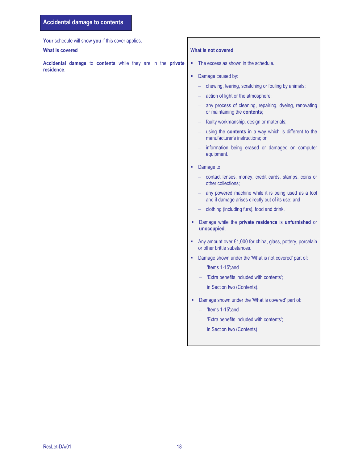Your schedule will show you if this cover applies.

Accidental damage to contents while they are in the private residence.

#### What is covered **What is not covered** What is not covered

- The excess as shown in the schedule.
- Damage caused by:
	- chewing, tearing, scratching or fouling by animals;
	- action of light or the atmosphere;
	- any process of cleaning, repairing, dyeing, renovating or maintaining the contents;
	- faulty workmanship, design or materials;
	- using the contents in a way which is different to the manufacturer's instructions; or
	- information being erased or damaged on computer equipment.
- Damage to:
	- contact lenses, money, credit cards, stamps, coins or other collections;
	- any powered machine while it is being used as a tool and if damage arises directly out of its use; and
	- clothing (including furs), food and drink.
- **-** Damage while the private residence is unfurnished or unoccupied.
- Any amount over £1,000 for china, glass, pottery, porcelain or other brittle substances.
- **-** Damage shown under the 'What is not covered' part of:
	- 'Items 1-15';and
	- 'Extra benefits included with contents';

in Section two (Contents).

- **-** Damage shown under the 'What is covered' part of:
	- 'Items 1-15';and
	- 'Extra benefits included with contents';
		- in Section two (Contents)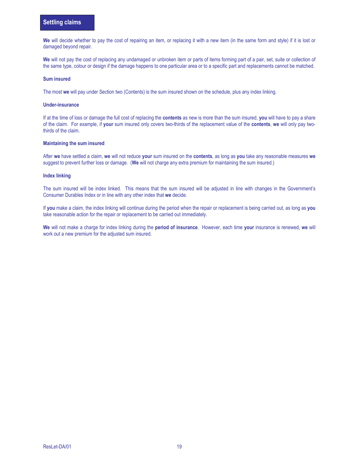We will decide whether to pay the cost of repairing an item, or replacing it with a new item (in the same form and style) if it is lost or damaged beyond repair.

We will not pay the cost of replacing any undamaged or unbroken item or parts of items forming part of a pair, set, suite or collection of the same type, colour or design if the damage happens to one particular area or to a specific part and replacements cannot be matched.

#### Sum insured

The most we will pay under Section two (Contents) is the sum insured shown on the schedule, plus any index linking.

#### Under-insurance

If at the time of loss or damage the full cost of replacing the contents as new is more than the sum insured, you will have to pay a share of the claim. For example, if your sum insured only covers two-thirds of the replacement value of the contents, we will only pay twothirds of the claim.

#### Maintaining the sum insured

After we have settled a claim, we will not reduce your sum insured on the contents, as long as you take any reasonable measures we suggest to prevent further loss or damage. (We will not charge any extra premium for maintaining the sum insured.)

#### Index linking

The sum insured will be index linked. This means that the sum insured will be adjusted in line with changes in the Government's Consumer Durables Index or in line with any other index that we decide.

If you make a claim, the index linking will continue during the period when the repair or replacement is being carried out, as long as you take reasonable action for the repair or replacement to be carried out immediately.

We will not make a charge for index linking during the period of insurance. However, each time your insurance is renewed, we will work out a new premium for the adjusted sum insured.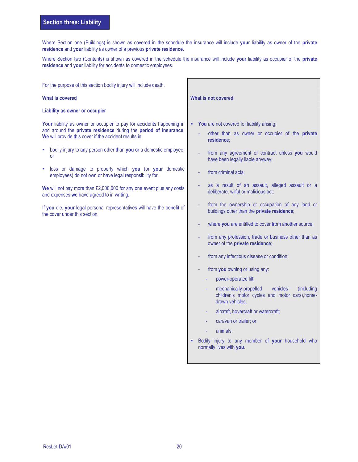Where Section one (Buildings) is shown as covered in the schedule the insurance will include your liability as owner of the private residence and your liability as owner of a previous private residence.

Where Section two (Contents) is shown as covered in the schedule the insurance will include your liability as occupier of the private residence and your liability for accidents to domestic employees.

For the purpose of this section bodily injury will include death.

#### What is covered

#### Liability as owner or occupier

Your liability as owner or occupier to pay for accidents happening in and around the private residence during the period of insurance. We will provide this cover if the accident results in:

- **bodily injury to any person other than you or a domestic employee;** or
- loss or damage to property which you (or your domestic employees) do not own or have legal responsibility for.

We will not pay more than £2,000,000 for any one event plus any costs and expenses we have agreed to in writing.

If you die, your legal personal representatives will have the benefit of the cover under this section.

|    |   | What is not covered                                                                                                 |
|----|---|---------------------------------------------------------------------------------------------------------------------|
| ገ  | ٠ | You are not covered for liability arising:                                                                          |
| ĺ. |   | other than as owner or occupier of the private<br>residence:                                                        |
| Ç  |   | from any agreement or contract unless you would<br>have been legally liable anyway;                                 |
| C  |   | from criminal acts;                                                                                                 |
| ŝ  |   | as a result of an assault, alleged assault or a<br>deliberate, wilful or malicious act;                             |
| if |   | from the ownership or occupation of any land or<br>buildings other than the private residence;                      |
|    |   | where you are entitled to cover from another source;                                                                |
|    |   | from any profession, trade or business other than as<br>owner of the private residence;                             |
|    |   | from any infectious disease or condition;                                                                           |
|    |   | from you owning or using any:                                                                                       |
|    |   | power-operated lift;                                                                                                |
|    |   | mechanically-propelled vehicles<br>(including<br>children's motor cycles and motor cars), horse-<br>drawn vehicles: |
|    |   | aircraft, hovercraft or watercraft;                                                                                 |
|    |   | caravan or trailer; or                                                                                              |
|    |   | animals.                                                                                                            |
|    |   | Bodily injury to any member of your household who<br>normally lives with you.                                       |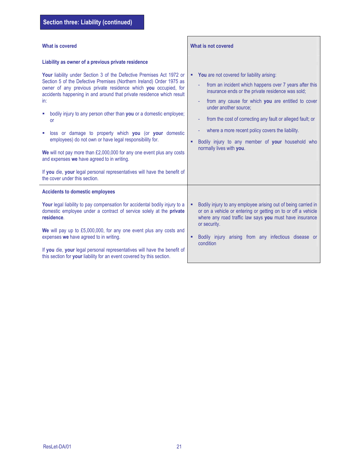| <b>What is covered</b>                                                                                                                                                                                                                                                                                                                                                                                                                                                         | What is not covered                                                                                                                                                                                                                                                                                              |  |
|--------------------------------------------------------------------------------------------------------------------------------------------------------------------------------------------------------------------------------------------------------------------------------------------------------------------------------------------------------------------------------------------------------------------------------------------------------------------------------|------------------------------------------------------------------------------------------------------------------------------------------------------------------------------------------------------------------------------------------------------------------------------------------------------------------|--|
| Liability as owner of a previous private residence<br>Your liability under Section 3 of the Defective Premises Act 1972 or<br>Section 5 of the Defective Premises (Northern Ireland) Order 1975 as<br>owner of any previous private residence which you occupied, for<br>accidents happening in and around that private residence which result<br>in:<br>bodily injury to any person other than you or a domestic employee;                                                    | You are not covered for liability arising:<br>٠<br>from an incident which happens over 7 years after this<br>٠<br>insurance ends or the private residence was sold;<br>from any cause for which you are entitled to cover<br>under another source:<br>from the cost of correcting any fault or alleged fault; or |  |
| or<br>loss or damage to property which you (or your domestic<br>٠<br>employees) do not own or have legal responsibility for.<br>We will not pay more than £2,000,000 for any one event plus any costs<br>and expenses we have agreed to in writing.<br>If you die, your legal personal representatives will have the benefit of<br>the cover under this section.                                                                                                               | where a more recent policy covers the liability.<br>Bodily injury to any member of your household who<br>٠<br>normally lives with you.                                                                                                                                                                           |  |
| <b>Accidents to domestic employees</b><br>Your legal liability to pay compensation for accidental bodily injury to a<br>domestic employee under a contract of service solely at the private<br>residence.<br>We will pay up to £5,000,000, for any one event plus any costs and<br>expenses we have agreed to in writing.<br>If you die, your legal personal representatives will have the benefit of<br>this section for your liability for an event covered by this section. | Bodily injury to any employee arising out of being carried in<br>or on a vehicle or entering or getting on to or off a vehicle<br>where any road traffic law says you must have insurance<br>or security.<br>Bodily injury arising from any infectious disease or<br>٠<br>condition                              |  |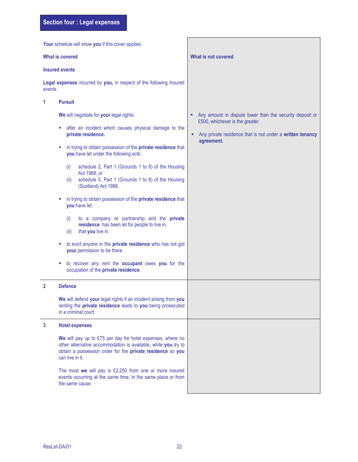|                                                                                                                                            | Your schedule will show you if this cover applies.                                                                                                                                                                              |                                                                                                                 |
|--------------------------------------------------------------------------------------------------------------------------------------------|---------------------------------------------------------------------------------------------------------------------------------------------------------------------------------------------------------------------------------|-----------------------------------------------------------------------------------------------------------------|
|                                                                                                                                            | <b>What is covered</b>                                                                                                                                                                                                          | What is not covered                                                                                             |
|                                                                                                                                            | <b>Insured events</b>                                                                                                                                                                                                           |                                                                                                                 |
| events.                                                                                                                                    | Legal expenses incurred by you, in respect of the following Insured                                                                                                                                                             |                                                                                                                 |
| 1                                                                                                                                          | <b>Pursuit</b>                                                                                                                                                                                                                  |                                                                                                                 |
|                                                                                                                                            | We will negotiate for your legal rights:                                                                                                                                                                                        | Any amount in dispute lower than the security deposit or                                                        |
|                                                                                                                                            | after an incident which causes physical damage to the<br>private residence.                                                                                                                                                     | £500, whichever is the greater.<br>Any private residence that is not under a written tenancy<br>٠<br>agreement. |
|                                                                                                                                            | in trying to obtain possession of the private residence that<br>you have let under the following acts:                                                                                                                          |                                                                                                                 |
|                                                                                                                                            | schedule 2, Part 1 (Grounds 1 to 8) of the Housing<br>(i)<br>Act 1988; or<br>schedule 5, Part 1 (Grounds 1 to 8) of the Housing<br>(ii)<br>(Scotland) Act 1988.<br>in trying to obtain possession of the private residence that |                                                                                                                 |
|                                                                                                                                            | you have let:<br>to a company or partnership and the private<br>(i)<br>residence has been let for people to live in.<br>that you live in.<br>(ii)                                                                               |                                                                                                                 |
|                                                                                                                                            | to evict anyone in the private residence who has not got<br>your permission to be there.                                                                                                                                        |                                                                                                                 |
|                                                                                                                                            | to recover any rent the occupant owes you for the<br>occupation of the private residence.                                                                                                                                       |                                                                                                                 |
| $\overline{2}$                                                                                                                             | <b>Defence</b>                                                                                                                                                                                                                  |                                                                                                                 |
|                                                                                                                                            | We will defend your legal rights if an incident arising from you<br>renting the private residence leads to you being prosecuted<br>in a criminal court.                                                                         |                                                                                                                 |
| 3                                                                                                                                          | <b>Hotel expenses</b>                                                                                                                                                                                                           |                                                                                                                 |
|                                                                                                                                            | We will pay up to £75 per day for hotel expenses, where no<br>other alternative accommodation is available, while you try to<br>obtain a possession order for the private residence so you<br>can live in it.                   |                                                                                                                 |
| The most we will pay is £2,250 from one or more insured<br>events occurring at the same time, in the same place or from<br>the same cause. |                                                                                                                                                                                                                                 |                                                                                                                 |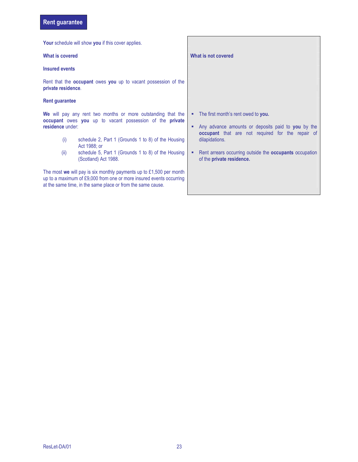# Rent guarantee

|                                                                                                                                                                                                                                                                                                                 | <b>Your</b> schedule will show you if this cover applies.      |                                                                                                                                                                                                                                                                                      |
|-----------------------------------------------------------------------------------------------------------------------------------------------------------------------------------------------------------------------------------------------------------------------------------------------------------------|----------------------------------------------------------------|--------------------------------------------------------------------------------------------------------------------------------------------------------------------------------------------------------------------------------------------------------------------------------------|
| What is covered                                                                                                                                                                                                                                                                                                 |                                                                | What is not covered                                                                                                                                                                                                                                                                  |
| <b>Insured events</b>                                                                                                                                                                                                                                                                                           |                                                                |                                                                                                                                                                                                                                                                                      |
| private residence.                                                                                                                                                                                                                                                                                              | Rent that the occupant owes you up to vacant possession of the |                                                                                                                                                                                                                                                                                      |
| <b>Rent guarantee</b>                                                                                                                                                                                                                                                                                           |                                                                |                                                                                                                                                                                                                                                                                      |
| We will pay any rent two months or more outstanding that the<br>occupant owes you up to vacant possession of the private<br>residence under:<br>schedule 2, Part 1 (Grounds 1 to 8) of the Housing<br>(i)<br>Act 1988: or<br>(ii)<br>schedule 5, Part 1 (Grounds 1 to 8) of the Housing<br>(Scotland) Act 1988. |                                                                | The first month's rent owed to you.<br>٠<br>Any advance amounts or deposits paid to you by the<br>٠<br><b>occupant</b> that are not required for the repair of<br>dilapidations.<br>Rent arrears occurring outside the <b>occupants</b> occupation<br>٠<br>of the private residence. |
| The most we will pay is six monthly payments up to $£1,500$ per month<br>up to a maximum of £9,000 from one or more insured events occurring<br>at the same time, in the same place or from the same cause.                                                                                                     |                                                                |                                                                                                                                                                                                                                                                                      |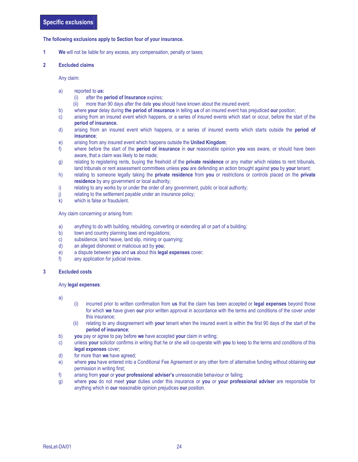#### The following exclusions apply to Section four of your insurance.

**1** We will not be liable for any excess, any compensation, penalty or taxes;

#### 2 Excluded claims

Any claim:

- a) reported to us:
	- (i) after the period of Insurance expires;
	- (ii) more than 90 days after the date you should have known about the insured event;
- b) where your delay during the period of insurance in telling us of an insured event has prejudiced our position;
- c) arising from an insured event which happens, or a series of insured events which start or occur, before the start of the period of insurance.
- d) arising from an insured event which happens, or a series of insured events which starts outside the period of insurance;
- e) arising from any insured event which happens outside the United Kingdom;
- f) where before the start of the **period of insurance** in **our** reasonable opinion you was aware, or should have been aware, that a claim was likely to be made;
- g) relating to registering rents, buying the freehold of the **private residence** or any matter which relates to rent tribunals, land tribunals or rent assessment committees unless you are defending an action brought against you by your tenant;
- h) relating to someone legally taking the private residence from you or restrictions or controls placed on the private residence by any government or local authority;
- i) relating to any works by or under the order of any government, public or local authority;
- j) relating to the settlement payable under an insurance policy;
- k) which is false or fraudulent.

Any claim concerning or arising from:

- a) anything to do with building, rebuilding, converting or extending all or part of a building;
- b) town and country planning laws and regulations;
- c) subsidence, land heave, land slip, mining or quarrying;
- d) an alleged dishonest or malicious act by you;
- e) a dispute between you and us about this legal expenses cover;
- f) any application for judicial review.

#### 3 Excluded costs

#### Any legal expenses:

a)

- (i) incurred prior to written confirmation from us that the claim has been accepted or legal expenses beyond those for which we have given our prior written approval in accordance with the terms and conditions of the cover under this insurance;
- (ii) relating to any disagreement with your tenant when the insured event is within the first 90 days of the start of the period of insurance;
- b) you pay or agree to pay before we have accepted your claim in writing;
- c) unless your solicitor confirms in writing that he or she will co-operate with you to keep to the terms and conditions of this legal expenses cover;
- d) for more than we have agreed;
- e) where you have entered into a Conditional Fee Agreement or any other form of alternative funding without obtaining our permission in writing first;
- f) arising from your or your professional adviser's unreasonable behaviour or failing;
- g) where you do not meet your duties under this insurance or you or your professional adviser are responsible for anything which in our reasonable opinion prejudices our position.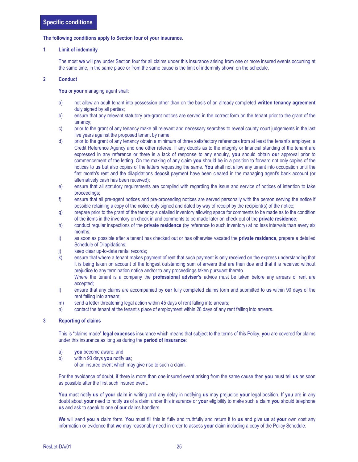#### The following conditions apply to Section four of your insurance.

#### 1 Limit of indemnity

 The most we will pay under Section four for all claims under this insurance arising from one or more insured events occurring at the same time, in the same place or from the same cause is the limit of indemnity shown on the schedule.

#### 2 Conduct

You or your managing agent shall:

- a) not allow an adult tenant into possession other than on the basis of an already completed written tenancy agreement duly signed by all parties;
- b) ensure that any relevant statutory pre-grant notices are served in the correct form on the tenant prior to the grant of the tenancy;
- c) prior to the grant of any tenancy make all relevant and necessary searches to reveal county court judgements in the last five years against the proposed tenant by name;
- d) prior to the grant of any tenancy obtain a minimum of three satisfactory references from at least the tenant's employer, a Credit Reference Agency and one other referee. If any doubts as to the integrity or financial standing of the tenant are expressed in any reference or there is a lack of response to any enquiry, you should obtain our approval prior to commencement of the letting. On the making of any claim you should be in a position to forward not only copies of the notices to us but also copies of the letters requesting the same. You shall not allow any tenant into occupation until the first month's rent and the dilapidations deposit payment have been cleared in the managing agent's bank account (or alternatively cash has been received);
- e) ensure that all statutory requirements are complied with regarding the issue and service of notices of intention to take proceedings;
- f) ensure that all pre-agent notices and pre-proceeding notices are served personally with the person serving the notice if possible retaining a copy of the notice duly signed and dated by way of receipt by the recipient(s) of the notice;
- g) prepare prior to the grant of the tenancy a detailed inventory allowing space for comments to be made as to the condition of the items in the inventory on check in and comments to be made later on check out of the private residence;
- h) conduct regular inspections of the **private residence** (by reference to such inventory) at no less intervals than every six months;
- i) as soon as possible after a tenant has checked out or has otherwise vacated the **private residence**, prepare a detailed Schedule of Dilapidations;
- j) keep clear up-to-date rental records;
- k) ensure that where a tenant makes payment of rent that such payment is only received on the express understanding that it is being taken on account of the longest outstanding sum of arrears that are then due and that it is received without prejudice to any termination notice and/or to any proceedings taken pursuant thereto.
	- Where the tenant is a company the **professional adviser's** advice must be taken before any arrears of rent are accepted;
- l) ensure that any claims are accompanied by our fully completed claims form and submitted to us within 90 days of the rent falling into arrears;
- m) send a letter threatening legal action within 45 days of rent falling into arrears;
- n) contact the tenant at the tenant's place of employment within 28 days of any rent falling into arrears.

#### 3 Reporting of claims

This is "claims made" legal expenses insurance which means that subject to the terms of this Policy, you are covered for claims under this insurance as long as during the period of insurance:

- a) you become aware; and
- b) within 90 days you notify us;
	- of an insured event which may give rise to such a claim.

For the avoidance of doubt, if there is more than one insured event arising from the same cause then you must tell us as soon as possible after the first such insured event.

You must notify us of your claim in writing and any delay in notifying us may prejudice your legal position. If you are in any doubt about your need to notify us of a claim under this insurance or your eligibility to make such a claim you should telephone us and ask to speak to one of our claims handlers.

We will send you a claim form. You must fill this in fully and truthfully and return it to us and give us at your own cost any information or evidence that we may reasonably need in order to assess your claim including a copy of the Policy Schedule.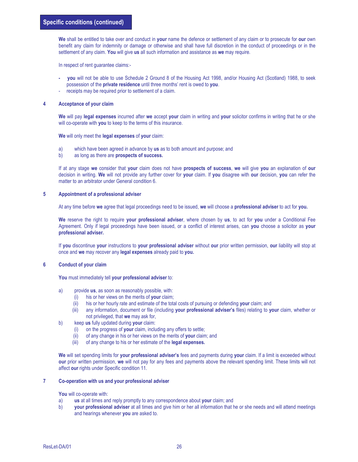We shall be entitled to take over and conduct in your name the defence or settlement of any claim or to prosecute for our own benefit any claim for indemnity or damage or otherwise and shall have full discretion in the conduct of proceedings or in the settlement of any claim. You will give us all such information and assistance as we may require.

In respect of rent guarantee claims:-

- you will not be able to use Schedule 2 Ground 8 of the Housing Act 1998, and/or Housing Act (Scotland) 1988, to seek possession of the private residence until three months' rent is owed to you.
- receipts may be required prior to settlement of a claim.

#### 4 Acceptance of your claim

We will pay legal expenses incurred after we accept your claim in writing and your solicitor confirms in writing that he or she will co-operate with you to keep to the terms of this insurance.

We will only meet the legal expenses of your claim:

- a) which have been agreed in advance by us as to both amount and purpose; and
- b) as long as there are **prospects of success.**

If at any stage we consider that your claim does not have prospects of success, we will give you an explanation of our decision in writing. We will not provide any further cover for your claim. If you disagree with our decision, you can refer the matter to an arbitrator under General condition 6.

#### 5 Appointment of a professional adviser

At any time before we agree that legal proceedings need to be issued, we will choose a professional adviser to act for you.

We reserve the right to require your professional adviser, where chosen by us, to act for you under a Conditional Fee Agreement. Only if legal proceedings have been issued, or a conflict of interest arises, can you choose a solicitor as your professional adviser.

If you discontinue your instructions to your professional adviser without our prior written permission, our liability will stop at once and we may recover any legal expenses already paid to you.

#### 6 Conduct of your claim

You must immediately tell your professional adviser to:

- a) provide us, as soon as reasonably possible, with:
	- $(i)$  his or her views on the merits of **your** claim;
	- (ii) his or her hourly rate and estimate of the total costs of pursuing or defending your claim; and
	- (iii) any information, document or file (including your professional adviser's files) relating to your claim, whether or not privileged, that we may ask for,
- b) keep us fully updated during your claim:
	- (i) on the progress of your claim, including any offers to settle;
	- (ii) of any change in his or her views on the merits of your claim; and
	- (iii) of any change to his or her estimate of the **legal expenses.**

We will set spending limits for your professional adviser's fees and payments during your claim. If a limit is exceeded without our prior written permission, we will not pay for any fees and payments above the relevant spending limit. These limits will not affect our rights under Specific condition 11.

#### 7 Co-operation with us and your professional adviser

You will co-operate with:

- a) us at all times and reply promptly to any correspondence about your claim; and
- b) your professional adviser at all times and give him or her all information that he or she needs and will attend meetings and hearings whenever you are asked to.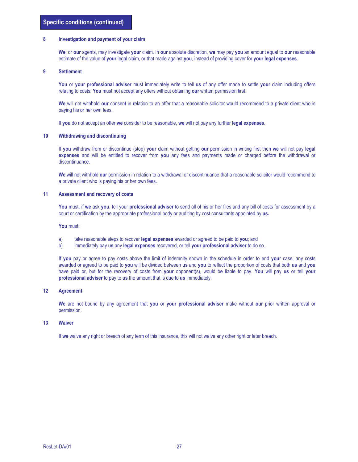#### 8 Investigation and payment of your claim

We, or our agents, may investigate your claim. In our absolute discretion, we may pay you an amount equal to our reasonable estimate of the value of your legal claim, or that made against you, instead of providing cover for your legal expenses.

#### 9 Settlement

You or your professional adviser must immediately write to tell us of any offer made to settle your claim including offers relating to costs. You must not accept any offers without obtaining our written permission first.

We will not withhold our consent in relation to an offer that a reasonable solicitor would recommend to a private client who is paying his or her own fees.

If you do not accept an offer we consider to be reasonable, we will not pay any further legal expenses.

#### 10 Withdrawing and discontinuing

If you withdraw from or discontinue (stop) your claim without getting our permission in writing first then we will not pay legal expenses and will be entitled to recover from you any fees and payments made or charged before the withdrawal or discontinuance.

We will not withhold our permission in relation to a withdrawal or discontinuance that a reasonable solicitor would recommend to a private client who is paying his or her own fees.

#### 11 Assessment and recovery of costs

You must, if we ask you, tell your professional adviser to send all of his or her files and any bill of costs for assessment by a court or certification by the appropriate professional body or auditing by cost consultants appointed by us.

#### You must:

- a) take reasonable steps to recover legal expenses awarded or agreed to be paid to you; and
- b) immediately pay us any legal expenses recovered, or tell your professional adviser to do so.

If you pay or agree to pay costs above the limit of indemnity shown in the schedule in order to end your case, any costs awarded or agreed to be paid to you will be divided between us and you to reflect the proportion of costs that both us and you have paid or, but for the recovery of costs from your opponent(s), would be liable to pay. You will pay us or tell your professional adviser to pay to us the amount that is due to us immediately.

#### 12 Agreement

We are not bound by any agreement that you or your professional adviser make without our prior written approval or permission.

#### 13 Waiver

If we waive any right or breach of any term of this insurance, this will not waive any other right or later breach.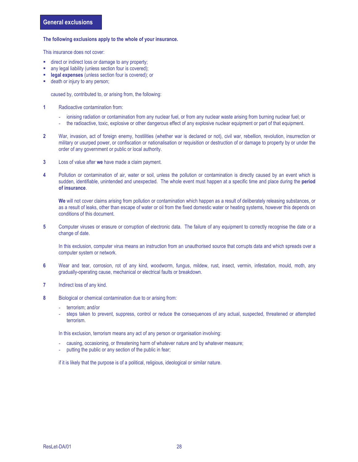#### The following exclusions apply to the whole of your insurance.

This insurance does not cover:

- direct or indirect loss or damage to any property;
- any legal liability (unless section four is covered);
- legal expenses (unless section four is covered); or
- death or injury to any person;

caused by, contributed to, or arising from, the following:

- 1 Radioactive contamination from:
	- ionising radiation or contamination from any nuclear fuel, or from any nuclear waste arising from burning nuclear fuel; or
	- the radioactive, toxic, explosive or other dangerous effect of any explosive nuclear equipment or part of that equipment.
- 2 War, invasion, act of foreign enemy, hostilities (whether war is declared or not), civil war, rebellion, revolution, insurrection or military or usurped power, or confiscation or nationalisation or requisition or destruction of or damage to property by or under the order of any government or public or local authority.
- 3 Loss of value after we have made a claim payment.
- 4 Pollution or contamination of air, water or soil, unless the pollution or contamination is directly caused by an event which is sudden, identifiable, unintended and unexpected. The whole event must happen at a specific time and place during the period of insurance.

We will not cover claims arising from pollution or contamination which happen as a result of deliberately releasing substances, or as a result of leaks, other than escape of water or oil from the fixed domestic water or heating systems, however this depends on conditions of this document.

5 Computer viruses or erasure or corruption of electronic data. The failure of any equipment to correctly recognise the date or a change of date.

In this exclusion, computer virus means an instruction from an unauthorised source that corrupts data and which spreads over a computer system or network.

- 6 Wear and tear, corrosion, rot of any kind, woodworm, fungus, mildew, rust, insect, vermin, infestation, mould, moth, any gradually-operating cause, mechanical or electrical faults or breakdown.
- 7 Indirect loss of any kind.
- 8 Biological or chemical contamination due to or arising from:
	- terrorism; and/or
	- steps taken to prevent, suppress, control or reduce the consequences of any actual, suspected, threatened or attempted terrorism.

In this exclusion, terrorism means any act of any person or organisation involving:

- causing, occasioning, or threatening harm of whatever nature and by whatever measure;
- putting the public or any section of the public in fear;

if it is likely that the purpose is of a political, religious, ideological or similar nature.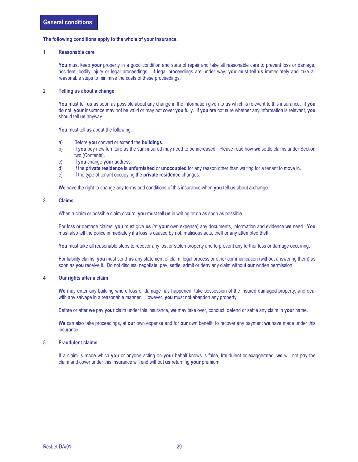#### The following conditions apply to the whole of your insurance.

#### 1 Reasonable care

You must keep your property in a good condition and state of repair and take all reasonable care to prevent loss or damage, accident, bodily injury or legal proceedings. If legal proceedings are under way, you must tell us immediately and take all reasonable steps to minimise the costs of these proceedings.

#### 2 Telling us about a change

You must tell us as soon as possible about any change in the information given to us which is relevant to this insurance. If you do not, your insurance may not be valid or may not cover you fully. If you are not sure whether any information is relevant, you should tell us anyway.

You must tell us about the following.

- a) Before you convert or extend the buildings.
- b) If you buy new furniture as the sum insured may need to be increased. Please read how we settle claims under Section two (Contents).
- c) If you change your address.
- d) If the private residence is unfurnished or unoccupied for any reason other than waiting for a tenant to move in.
- e) If the type of tenant occupying the **private residence** changes.

We have the right to change any terms and conditions of this insurance when you tell us about a change.

#### 3 Claims

When a claim or possible claim occurs, **you** must tell us in writing or on as soon as possible.

For loss or damage claims, you must give us (at your own expense) any documents, information and evidence we need. You must also tell the police immediately if a loss is caused by riot, malicious acts, theft or any attempted theft.

You must take all reasonable steps to recover any lost or stolen property and to prevent any further loss or damage occurring.

For liability claims, you must send us any statement of claim, legal process or other communication (without answering them) as soon as you receive it. Do not discuss, negotiate, pay, settle, admit or deny any claim without our written permission.

#### 4 Our rights after a claim

We may enter any building where loss or damage has happened, take possession of the insured damaged property, and deal with any salvage in a reasonable manner. However, you must not abandon any property.

Before or after we pay your claim under this insurance, we may take over, conduct, defend or settle any claim in your name.

We can also take proceedings, at our own expense and for our own benefit, to recover any payment we have made under this insurance.

#### 5 Fraudulent claims

If a claim is made which you or anyone acting on your behalf knows is false, fraudulent or exaggerated, we will not pay the claim and cover under this insurance will end without us returning your premium.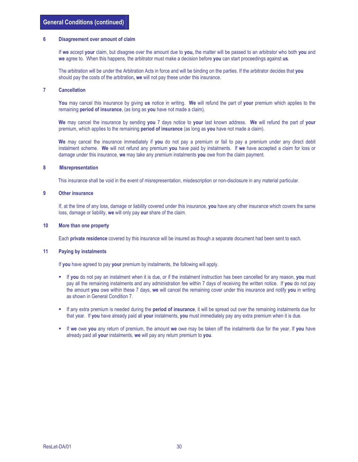#### 6 Disagreement over amount of claim

If we accept your claim, but disagree over the amount due to you, the matter will be passed to an arbitrator who both you and we agree to. When this happens, the arbitrator must make a decision before you can start proceedings against us.

The arbitration will be under the Arbitration Acts in force and will be binding on the parties. If the arbitrator decides that you should pay the costs of the arbitration, we will not pay these under this insurance.

#### 7 Cancellation

You may cancel this insurance by giving us notice in writing. We will refund the part of your premium which applies to the remaining **period of insurance**, (as long as you have not made a claim).

We may cancel the insurance by sending you 7 days notice to your last known address. We will refund the part of your premium, which applies to the remaining **period of insurance** (as long as you have not made a claim).

We may cancel the insurance immediately if you do not pay a premium or fail to pay a premium under any direct debit instalment scheme. We will not refund any premium you have paid by instalments. If we have accepted a claim for loss or damage under this insurance, we may take any premium instalments you owe from the claim payment.

#### 8 Misrepresentation

This insurance shall be void in the event of misrepresentation, misdescription or non-disclosure in any material particular.

#### 9 Other insurance

If, at the time of any loss, damage or liability covered under this insurance, you have any other insurance which covers the same loss, damage or liability, we will only pay our share of the claim.

#### 10 More than one property

Each private residence covered by this insurance will be insured as though a separate document had been sent to each.

#### 11 Paying by instalments

If you have agreed to pay your premium by instalments, the following will apply.

- If you do not pay an instalment when it is due, or if the instalment instruction has been cancelled for any reason, you must pay all the remaining instalments and any administration fee within 7 days of receiving the written notice. If you do not pay the amount you owe within these 7 days, we will cancel the remaining cover under this insurance and notify you in writing as shown in General Condition 7.
- If any extra premium is needed during the **period of insurance**, it will be spread out over the remaining instalments due for that year. If you have already paid all your instalments, you must immediately pay any extra premium when it is due.
- If we owe you any return of premium, the amount we owe may be taken off the instalments due for the year. If you have already paid all your instalments, we will pay any return premium to you.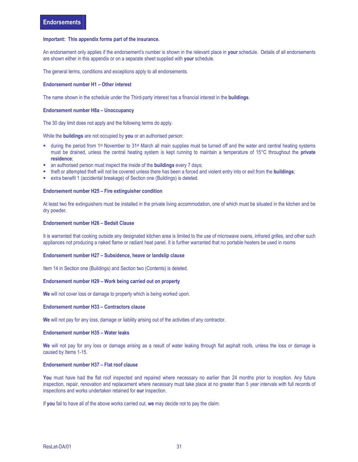#### Important: This appendix forms part of the insurance.

An endorsement only applies if the endorsement's number is shown in the relevant place in your schedule. Details of all endorsements are shown either in this appendix or on a separate sheet supplied with your schedule.

The general terms, conditions and exceptions apply to all endorsements.

#### Endorsement number H1 – Other interest

The name shown in the schedule under the Third-party interest has a financial interest in the **buildings**.

#### Endorsement number H8a – Unoccupancy

The 30 day limit does not apply and the following terms do apply.

While the **buildings** are not occupied by you or an authorised person:

- during the period from 1st November to 31st March all main supplies must be turned off and the water and central heating systems must be drained, unless the central heating system is kept running to maintain a temperature of 15°C throughout the **private** residence;
- an authorised person must inspect the inside of the **buildings** every 7 days;
- theft or attempted theft will not be covered unless there has been a forced and violent entry into or exit from the **buildings**;
- extra benefit 1 (accidental breakage) of Section one (Buildings) is deleted.

#### Endorsement number H25 – Fire extinguisher condition

At least two fire extinguishers must be installed in the private living accommodation, one of which must be situated in the kitchen and be dry powder.

#### Endorsement number H26 – Bedsit Clause

It is warranted that cooking outside any designated kitchen area is limited to the use of microwave ovens, infrared grilles, and other such appliances not producing a naked flame or radiant heat panel. It is further warranted that no portable heaters be used in rooms

#### Endorsement number H27 – Subsidence, heave or landslip clause

Item 14 in Section one (Buildings) and Section two (Contents) is deleted.

#### Endorsement number H29 – Work being carried out on property

We will not cover loss or damage to property which is being worked upon.

#### Endorsement number H33 – Contractors clause

We will not pay for any loss, damage or liability arising out of the activities of any contractor.

#### Endorsement number H35 – Water leaks

We will not pay for any loss or damage arising as a result of water leaking through flat asphalt roofs, unless the loss or damage is caused by Items 1-15.

#### Endorsement number H37 – Flat roof clause

You must have had the flat roof inspected and repaired where necessary no earlier than 24 months prior to inception. Any future inspection, repair, renovation and replacement where necessary must take place at no greater than 5 year intervals with full records of inspections and works undertaken retained for our inspection.

If you fail to have all of the above works carried out, we may decide not to pay the claim.